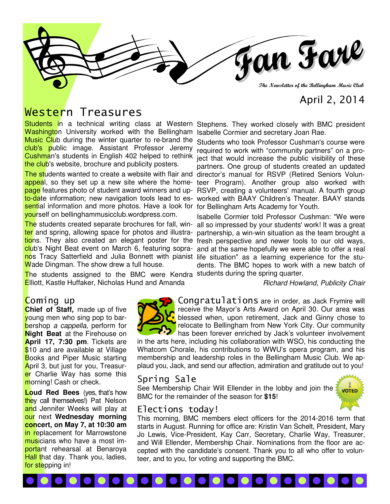

# April 2, 2014

# Western Treasures

Students in a technical writing class at Western Stephens. They worked closely with BMC president Washington University worked with the Bellingham Isabelle Cormier and secretary Joan Rae. Music Club during the winter quarter to re-brand the club's public image. Assistant Professor Jeremy the club's website, brochure and publicity posters.

The students wanted to create a website with flair and director's manual for RSVP (Retired Seniors Volunappeal, so they set up a new site where the home- teer Program). Another group also worked with page features photo of student award winners and up- RSVP, creating a volunteers' manual. A fourth group to-date information; new navigation tools lead to es- worked with BAAY Children's Theater. BAAY stands sential information and more photos. Have a look for for Bellingham Arts Academy for Youth. yourself on bellinghammusicclub.wordpress.com.

club's Night Beat event on March 6, featuring sopranos Tracy Satterfield and Julia Bonnett with pianist life situation" as a learning experience for the stu-Wade Dingman. The show drew a full house.

The students assigned to the BMC were Kendra students during the spring quarter. Elliott, Kastle Huffaker, Nicholas Hund and Amanda

## Coming up

**Chief of Staff,** made up of five young men who sing pop to barbershop a cappella, perform for **Night Beat** at the Firehouse on **April 17, 7:30 pm**. Tickets are \$10 and are available at Village Books and Piper Music starting April 3, but just for you, Treasurer Charlie Way has some this morning! Cash or check.

**Loud Red Bees** (yes, that's how they call themselves!) Pat Nelson and Jennifer Weeks will play at our next **Wednesday morning concert, on May 7, at 10:30 am**  in replacement for Marrowstone musicians who have a most important rehearsal at Benaroya Hall that day. Thank you, ladies, for stepping in!



Cushman's students in English 402 helped to rethink ject that would increase the public visibility of these Students who took Professor Cushman's course were required to work with "community partners" on a propartners. One group of students created an updated

The students created separate brochures for fall, win- all so impressed by your students' work! It was a great ter and spring, allowing space for photos and illustra- partnership, a win-win situation as the team brought a tions. They also created an elegant poster for the fresh perspective and newer tools to our old ways, Isabelle Cormier told Professor Cushman: "We were and at the same hopefully we were able to offer a real dents. The BMC hopes to work with a new batch of

Richard Howland, Publicity Chair

Congratulations are in order, as Jack Frymire will receive the Mayor's Arts Award on April 30. Our area was blessed when, upon retirement, Jack and Ginny chose to relocate to Bellingham from New York City. Our community has been forever enriched by Jack's volunteer involvement

in the arts here, including his collaboration with WSO, his conducting the Whatcom Chorale, his contributions to WWU's opera program, and his membership and leadership roles in the Bellingham Music Club. We applaud you, Jack, and send our affection, admiration and gratitude out to you!

#### Spring Sale

See Membership Chair Will Ellender in the lobby and join the BMC for the remainder of the season for **\$15**!

I 6 6 6 6 6 6



## Elections today!

This morning, BMC members elect officers for the 2014-2016 term that starts in August. Running for office are: Kristin Van Schelt, President, Mary Jo Lewis, Vice-President, Kay Carr, Secretary, Charlie Way, Treasurer, and Will Ellender, Membership Chair. Nominations from the floor are accepted with the candidate's consent. Thank you to all who offer to volunteer, and to you, for voting and supporting the BMC.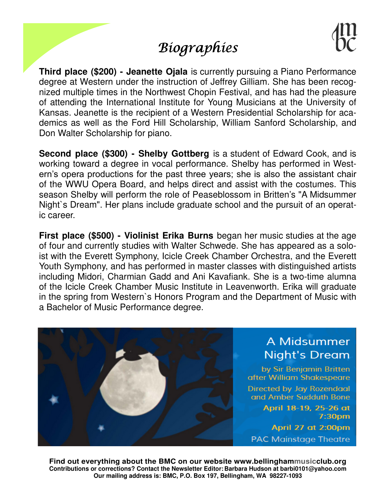# **Biographies**

**Third place (\$200) - Jeanette Ojala** is currently pursuing a Piano Performance degree at Western under the instruction of Jeffrey Gilliam. She has been recognized multiple times in the Northwest Chopin Festival, and has had the pleasure of attending the International Institute for Young Musicians at the University of Kansas. Jeanette is the recipient of a Western Presidential Scholarship for academics as well as the Ford Hill Scholarship, William Sanford Scholarship, and Don Walter Scholarship for piano.

**Second place (\$300) - Shelby Gottberg** is a student of Edward Cook, and is working toward a degree in vocal performance. Shelby has performed in Western's opera productions for the past three years; she is also the assistant chair of the WWU Opera Board, and helps direct and assist with the costumes. This season Shelby will perform the role of Peaseblossom in Britten's "A Midsummer Night`s Dream". Her plans include graduate school and the pursuit of an operatic career.

**First place (\$500) - Violinist Erika Burns** began her music studies at the age of four and currently studies with Walter Schwede. She has appeared as a soloist with the Everett Symphony, Icicle Creek Chamber Orchestra, and the Everett Youth Symphony, and has performed in master classes with distinguished artists including Midori, Charmian Gadd and Ani Kavafiank. She is a two-time alumna of the Icicle Creek Chamber Music Institute in Leavenworth. Erika will graduate in the spring from Western`s Honors Program and the Department of Music with a Bachelor of Music Performance degree.



**Find out everything about the BMC on our website www.bellinghammusicclub.org Contributions or corrections? Contact the Newsletter Editor: Barbara Hudson at barbi0101@yahoo.com Our mailing address is: BMC, P.O. Box 197, Bellingham, WA 98227-1093**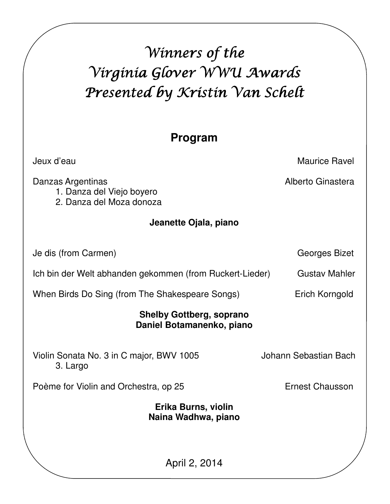# Winners of the Virginia Glover WWU Awards Presented by Kristin Van Schelt

# **Program**

Danzas Argentinas **Alberto Ginastera Alberto Ginastera** 

Jeux d'eau Maurice Ravel

1. Danza del Viejo boyero

2. Danza del Moza donoza

# **Jeanette Ojala, piano**

Je dis (from Carmen) Georges Bizet

Ich bin der Welt abhanden gekommen (from Ruckert-Lieder) Gustav Mahler

When Birds Do Sing (from The Shakespeare Songs) Erich Korngold

# **Shelby Gottberg, soprano Daniel Botamanenko, piano**

Violin Sonata No. 3 in C major, BWV 1005 Johann Sebastian Bach 3. Largo

Poème for Violin and Orchestra, op 25 Frnest Chausson

**Erika Burns, violin Naina Wadhwa, piano** 

April 2, 2014